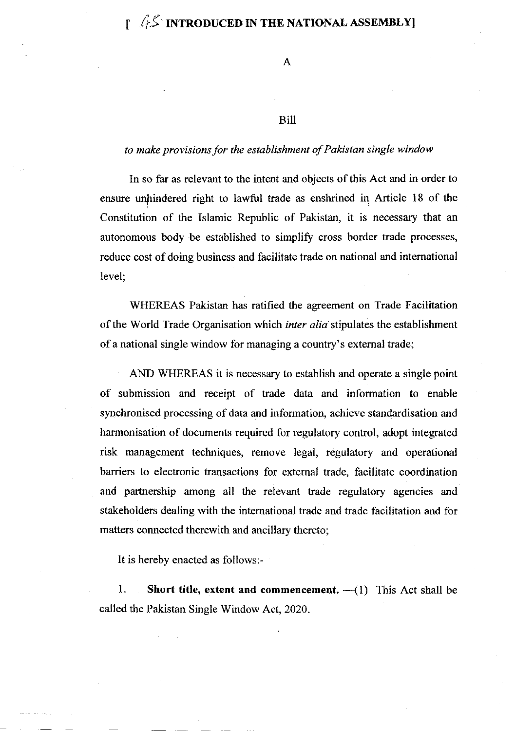### Bill

### to make provisions for the establishment of Pakistan single window

In so far as relevant to the intent and objects of this Act and in order to ensure unhindered right to lawful trade as enshrined in Article 18 of the Constitution of the Islamic Republic of Pakistan, it is necessary that an autonomous body be established to simplify cross border trade processes, reduce cost of doing business and facilitate trade on national and intemational level;

WHEREAS Pakistan has ratified the agreement on Trade Facilitation of the World Trade Organisation which inter alia stipulates the establishment of a national single window for managing a country's extemal trade;

AND WHEREAS it is necessary to establish and operate a single point of submission and receipt of trade data and information to enable synchronised processing of data and information, achieve standardisation and harmonisation of documents required for regulatory control, adopt integrated risk management techniques, remove legal, regulatory and operational barriers to electronic transactions for external trade, facilitate coordination and partnership among all the relevant trade regulatory agencies and stakeholders dealing with the international trade and trade facilitation and for matters cormected therewith and ancillary thereto;

It is hereby enacted as follows:-

1. Short title, extent and commencement.  $-(1)$  This Act shall be called the Pakistan Single Window Act,2020.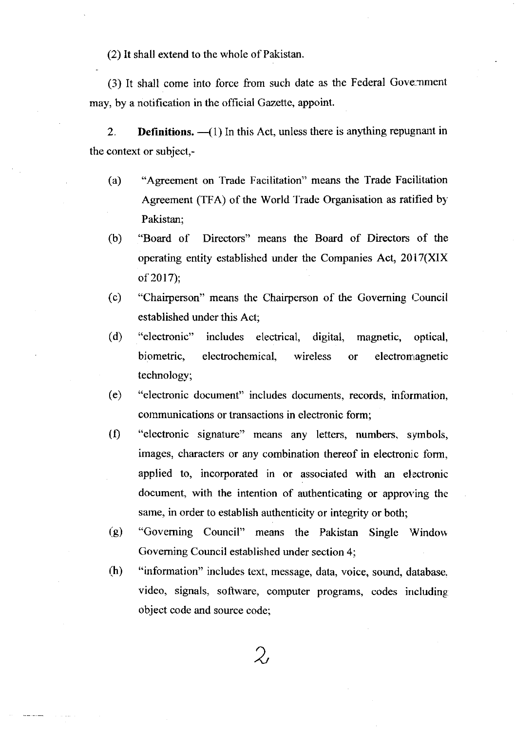(2) It shall extend to the whole of Pakistan.

(3) It shall come into force from such date as the Federal Government may, by a notification in the official Gazette, appoint.

2. **Definitions.**  $-(-1)$  In this Act, unless there is anything repugnant in the context or subject,-

- (a) "Agreement on Trade Facilitation" means the Trade Facilitation Agreement (TFA) of the World Trade Organisation as ratified by Pakistan;
- (b) "Board of Directors" means the Board of Directors of the operating entity established under the Companies Act, 20 l7(XIX of 2017):
- (c) "Chairperson" means the Chairperson of the Governing Council established under this Act;
- (d) "electronic" includes electrical, digital, magnetic, optical, biometric, electrochemical, wireless or electromagnetic technology;
- (e) "electronic document" includes documents, records, information, communications or transactions in electronic form;
- (0 "electronic signature" means any letters, numbers, symbols, images, characters or any combination thereof in electronic form, applied to, incorporated in or associated with an electronic document, with the intention of authenticating or approving the same, in order to establish authenticity or integrity or both;
- (g) "Governing Council" means the Pakistan Single Window Goveming Council established under section 4;
- (h) "information" includes text, message, data, voice, sound, database. video, signals, software, computer programs, codes including object code and source code;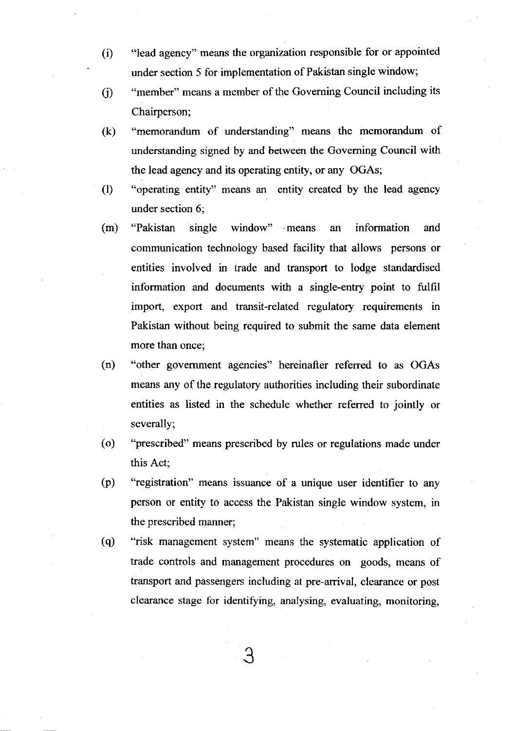- (i) "lead agency" means the organization responsible for or appointed under section 5 for implementation of Pakistan single window;
- (j) "member" means a member of the Governing Council including its Chairperson;
- (k) "memorandum of understanding" means the memorandum of understanding signed by and between the Goveming Council with the lead agency and its operating entity, or any OGAs;
- (l) "operating entity" means an entity created by the lead agency under section 6;
- (m) "Pakistan single window" -means an information and communication technology based facility that allows persons or entities involved in trade and transport to lodge standardised information and documents with a single-entry point to fulfil import, export and transit-related regulatory requirements in Pakistan without being required to submit the same data element more than once;
- (n) "other govemment agencies" hereinafter referred to as OGAs means any of the regulatory authorities including their subordinate entities as listed in the schedule whether referred to jointly or severally;
- (o) "prescribed" means prescribed by rules or regulations made under this Act;
- (p) "registration" means issuance of a unique user identifier to any person or entity to access the Pakistan single window system, in the prescribed manner;
- (q) "risk management system" means the systematic application of trade controls and management procedures on goods, means of transport and passengers including at pre-arrival, clearance or post clearance stage for identifying, analysing, evaluating, monitoring,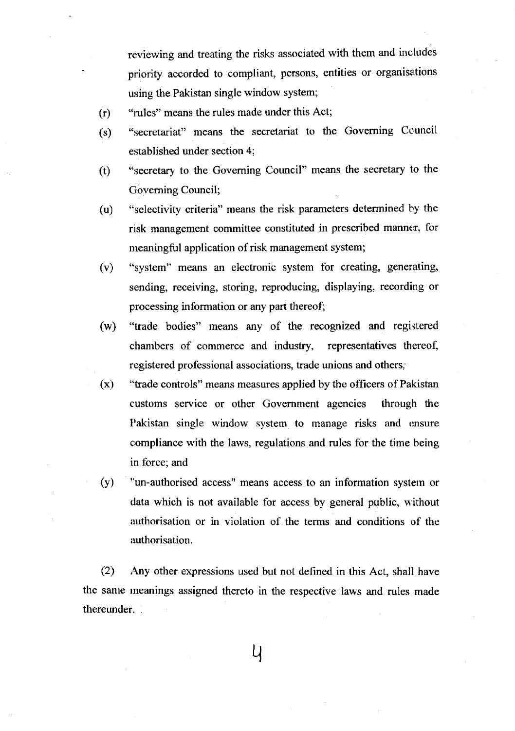reviewing and treating the risks associated with them and includes priority accorded to compliant, persons, entities or organisations using the Pakistan single window system;

- $(r)$ "rules" means the rules made under this Act;
- (s) "secretariat" means the secretariat to the Governing Council established under section 4;
- (t) "secretary to the Goveming Council" means the secretary to the Governing Council;
- (u) "selectivity criteria" means the risk parameters determined by the risk management committee constituted in prescribed manner, for meaningful application of risk management system;
- (v) "system" means an electronic system for creating, generating, sending, receiving, storing, reproducing, displaying, recording or processing information or any part thereof;
- (w) "trade bodies" means any of the recogrized and registered chambers of commerce and industry, representatives thereof, registered professional associations, trade unions and others,'
- "trade controls" means measures applied by the officers of Pakistan customs service or other Govemment agencies through the Pakistan single window system to manage risks and ensure compliance with the laws, regulations and rules for the time being in force; and (x)
- "un-authorised access" means access to an information system or data which is not available for access by general public, without authorisation or in violation of the terms and conditions of the authorisation. (v)

(2) Any other expressions used but not delined in this Act, shall have the same rneanings assigned thereto in the respective laws and rules made thereunder.

 $\mathsf{U}$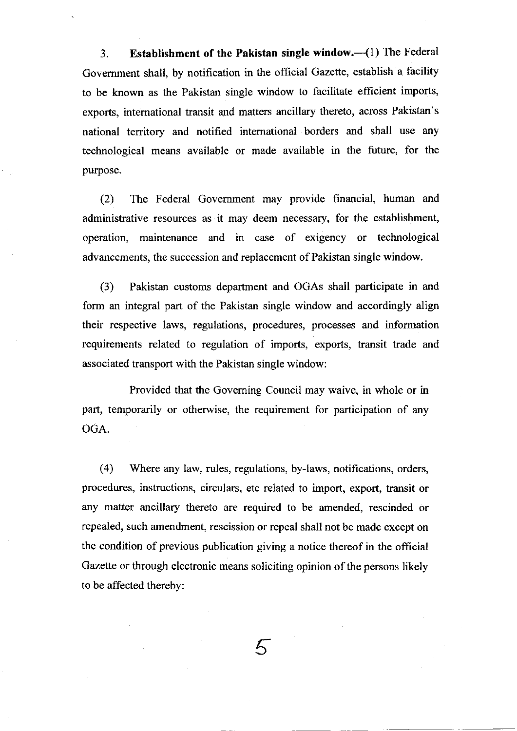3. Establishment of the Pakistan single window.{l) The Federal Govemment shall, by notification in the official Gazette, establish a facility to be known as the Pakistan single window to facilitate efficient imports, exports, intemational transit and matters ancillary thereto, across Pakistan's national territory and notified intemational borders and shall use any technological means available or made available in the future, for the purpose.

(2) The Federal Government may provide financial, human and administrative resources as it may deem necessary, for the establishment, operation, maintenance and in case of exigency or technological advancements, the succession and replacement of Pakistan single window.

(3) Pakistan customs department and OGAs shall participate in and form an integral part of the Pakistan single window and accordingly align their respective laws, regulations, procedures, processes and information requirements related to regulation of imports, exports, transit trade and associated transport with the Pakistan single window:

Provided that the Goveming Council may waive, in whole or in part, temporarily or otherwise, the requirement for participation of any OGA.

(4) Where any law, rules, regulations, by-laws, notifications, orders, procedures, instructions, circulars, etc related to import, export, transit or any matter ancillary thereto are required to be amended, rescinded or repealed, such amendment, rescission or repeal shall not be made except on the condition of previous publication giving a notice thereof in the official Gazette or through electronic means soliciting opinion of the persons likely to be affected thereby:

 $\mathcal{F}_{\mathcal{D}}$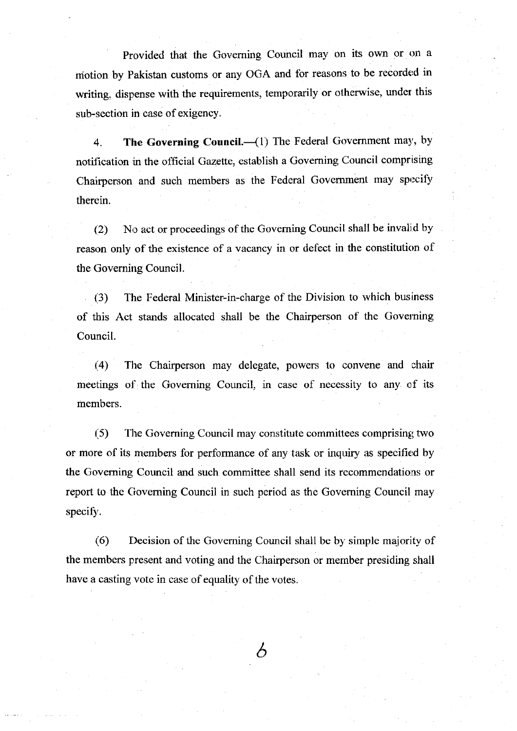Provided that the Governing Council may on its own or on <sup>a</sup> motion by Pakistan customs or any OGA and for reasons to be recorded in writing, dispense with the requirements, temporarily or otherwise, under this sub-section in case of exigency.

4. The Governing Council. $-(1)$  The Federal Government may, by notification in the official Gazette, establish a Goveming Council comprising Chairperson and such members as the Federal Government may specify thercin.

 $(2)$  No act or proceedings of the Governing Council shall be invalid by reason only of the existence of a vacancy in or defect in the constitution of the Governing Council.

(.3) The Federal Minister-in-charge of the Division to which business of this Act stands allocated shall be the Chairperson of the Governing Council.

(4) The Chairperson may delegate, powers to convene and chair meetings of the Governing Council, in case of necessity to any of its members.

1.5) The Governing Council may constitute committees comprising two or more of its members for performance of any task or inquiry as specified by the Governing Council and such committee shall send its recommendations or report to the Cioveming Council in such period as the Goveming Council may specify.

 $(6)$  Decision of the Governing Council shall be by simple majority of the members present and voting and the Chairperson or member presiding shall have a casting vote in case of equality of the votes.

 $\delta$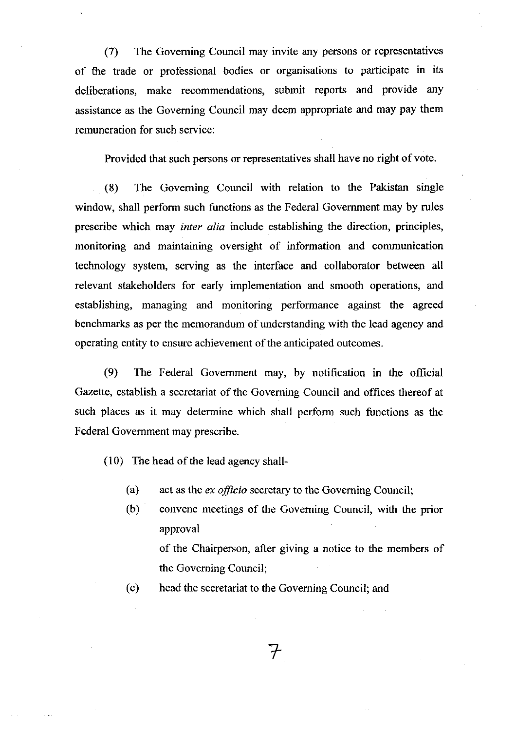(7) The Goveming Council may invite any persons or representatives of the trade or professional bodies or organisations to participate in its deliberations, make recommendations, submit reports and provide any assistance as the Goveming Council may deem appropriate and may pay them remuneration for such service:

Provided that such persons or representatives shall have no right of vote.

(8) The Goveming Council with relation to the Pakistan single window, shall perform such functions as the Federal Government may by rules prescribe which may inter alia include establishing the direction, principles, monitoring and maintaining oversight of information and communication technology system, serving as the interface and collaborator between all relevant stakeholders for early implementation and smooth operations, and establishing, managing and monitoring performance against the agreed benchmarks as per the memorandum of understanding with the lead agency and operating entity to ensure achievement of the anticipated outcomes.

(9) The Federal Govemment may, by notification in the official Gazette, establish a secretariat of the Governing Council and offices thereof at such places as it may determine which shall perform such functions as the Federal Govemment may prescribe.

 $(10)$  The head of the lead agency shall-

- (a) act as the *ex officio* secretary to the Governing Council;
- (b) convene meetings of the Goveming Council, with the prior approval

of the Chairperson, after giving a notice to the members of the Goveming Council;

(c) head the secretariat to the Goveming Council; and

7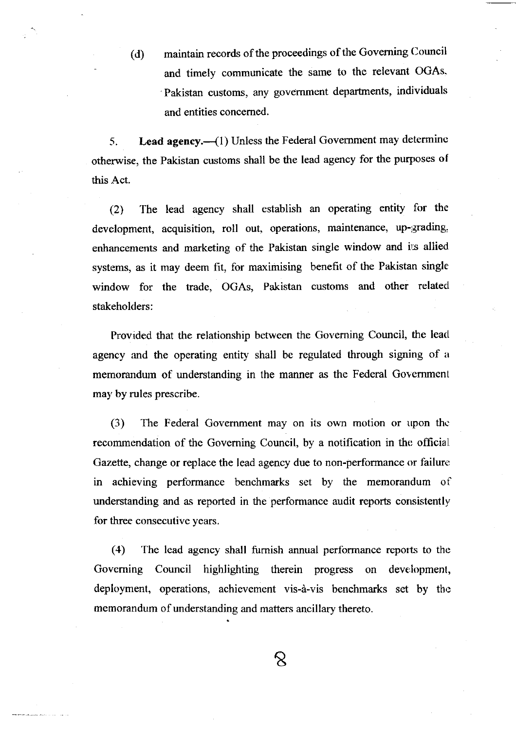(d) maintain records of the proceedings of the Governing Council and timely communicate the same to the relevant OGAs. Pakistan customs, any government departments, individuals and entities concemed.

5. Lead agency.—(1) Unless the Federal Government may determine otherwise, the Pakistan customs shall be the lead agency for the purposes of this Act.

(2) The lead agency shall establish an operating entity for the development, acquisition, roll out, operations, maintenance, up-grading, enhancements and marketing of the Pakistan single window and irs allied systems, as it may deem fit, for maximising benefit of the Pakistan single window for the trade, OGAs, Pakistan customs and other related stakeholders:

Provided that the relationship between the Governing Council, the lead agency and the operating entity shall be regulated through signing of a memorandum of understanding in the manner as the Federal Government may by rules prescribe.

(3) The Federal Government may on its own motion or upon the recommendation of the Governing Council, by a notification in the official. Gazette, change or replace the lead agency due to non-performance or failure in achieving performance benchmarks set by the memorandum of understanding and as reported in the performance audit reports consistently for three consecutive years.

(4) The lead agency shall furnish annual performance reports to the Governing Council highlighting therein progress on development, deployment, operations, achievement vis-à-vis benchmarks set by the memorandum of understanding and matters ancillary thereto.

 $\infty$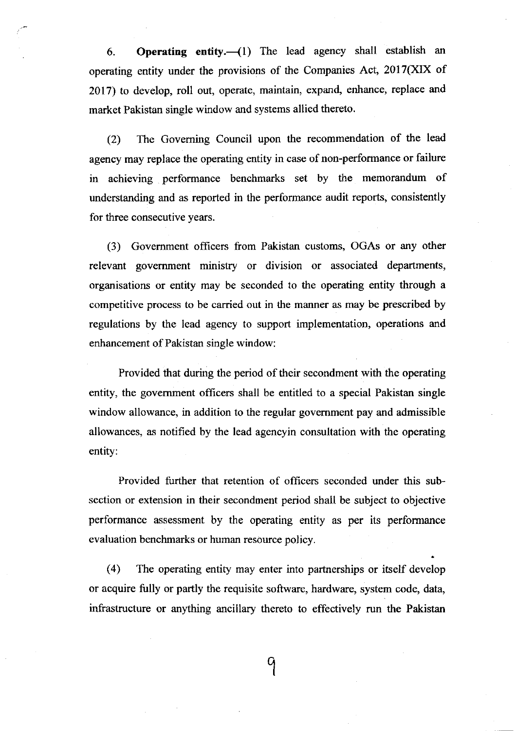6. Operating entity.  $(1)$  The lead agency shall establish an operating entity under the provisions of the Companies Act,  $2017(XIX)$  of 2Ol7) to develop, roll out, operate, maintain, expand, enhance, replace and market Pakistan single window and systems allied thereto.

(2) The Goveming Council upon the recommendation of the lead agency may replace the operating entity in case of non-performance or failure in achieving performance benchmarks set by the memorandum of understanding and as reported in the performance audit reports, consistently for three consecutive years.

(3) Govemment officers from Pakistan customs, OGAs or any other relevant government ministry or division or associated departments, organisations or entity may be seconded to the operating entity through a competitive process to be carried out in the manner as may be prescribed by regulations by the lead agency to support implementation, operations and enhancement of Pakistan single window:

Provided that during the period of their secondment with the operating entity, the govemment officers shall be entitled to a special Pakistan single window allowance, in addition to the regular govemment pay and admissible allowances, as notified by the lead agencyin consultation with the operating entity:

Provided further that retention of officers seconded under this subsection or extension in their secondment period shall be subject to objective performance assessment by the operating entity as per its performance evaluation benchmarks or human resource policy.

(4) The operating entity may enter into partnerships or itself develop or acquire fully or partly the requisite software, hardware, system code, data, infrastructure or anything ancillary thereto to effectively run the Pakistan

 $\mathcal{Q}$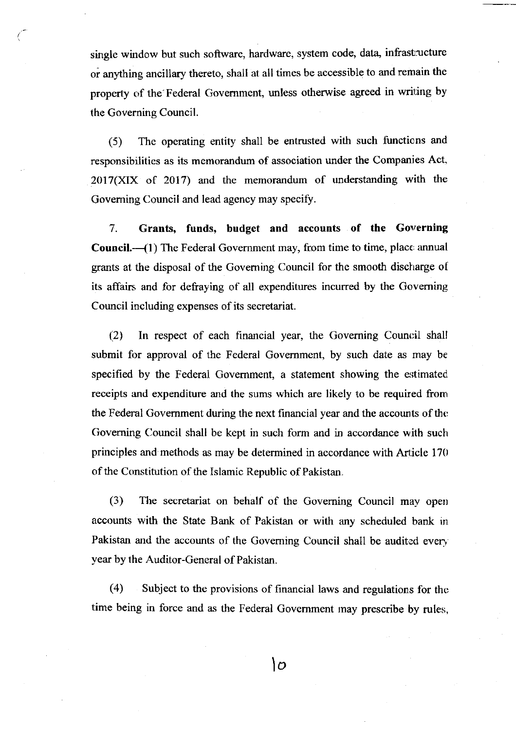single window but such software, hardware, system code, data, infrastructure or anything ancillary thereto, shall at all times be accessible to and remain the property of the Federal Government, unless otherwise agreed in writing by the Governing Council.

(5) The operating entity shall be entrusted with such functions and responsibilities as its memorandum of association under the Companies Act,  $2017(XIX)$  of  $2017$ ) and the memorandum of understanding with the Goveming Council and lead agency may specify.

7. Grants, funds, budget and accounts of the Governing **Council.**— $(1)$  The Federal Government may, from time to time, place annual grants at the disposal of the Goveming Council for the smooth discharge of its affairs and for defraying of all expenditures incurred by the Governing Council including expenses of its secretariat.

 $(2)$  In respect of each financial year, the Governing Council shall submit for approval of the Federal Govemment, by such date as may be specified by the Federal Government, a statement showing the estimated receipts and expenditure and the sums which are likely to be required from the Federal Govemment during the next financial year and the accounts of thc Governing Council shall be kept in such form and in accordance with such principles and methods as may be determined in accordance with Article 170 of the Constitution of the Islamic Republic of Pakistan.

(3) The secretariat on behalf of the Governing Council may open accounts with the State Bank of Pakistan or with any scheduled bank ir Pakistan and the accounts of the Governing Council shall be audited every year by the Auditor-General of Pakistan.

 $(4)$  Subject to the provisions of financial laws and regulations for the time being in force and as the Federal Government may prescribe by rules,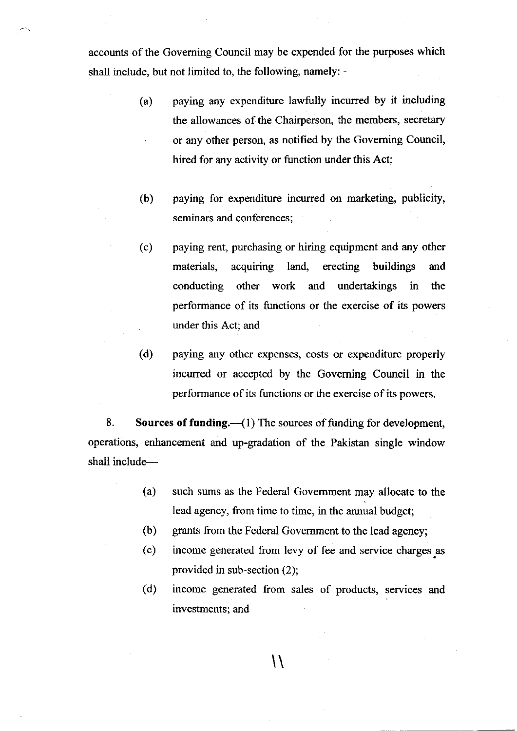accounts of the Goveming Council may be expended for the purposes which shall include, but not limited to, the following, namely: -

- (a) paying any expenditure lawfully incurred by it including the allowances of the Chairperson, the members, secretary or any other person, as notified by the Goveming Council, hired for any activity or function under this Act;
- (b) paying for expenditure incurred on marketing, publicity, seminars and conferences;
- (c) paying rent, purchasing or hiring equipment and any other materials, acquiring land, erecting buildings and conducting other work and undertakings in the performance of its functions or the exercise of its powers under this Act; and
- (d) paying any other expenses, costs or expenditure properly incurred or accepted by the Governing Council in the performance of its functions or the exercise of its powers.

8. Sources of funding.  $\left(\frac{1}{1}\right)$  The sources of funding for development, operations, enhancement and up-gradation of the Pakistan single window shall include-

- (a) such sums as the Federal Govemment may allocate to the lead agency, from time to time, in the annual budget;
- grants from the Federal Govemment to the lead agency; (b)
- income generated from levy of fee and service charges as provided in sub-section (2); (c)
- income generated fiom sales of products, services and investments; and (d)

 $\lambda$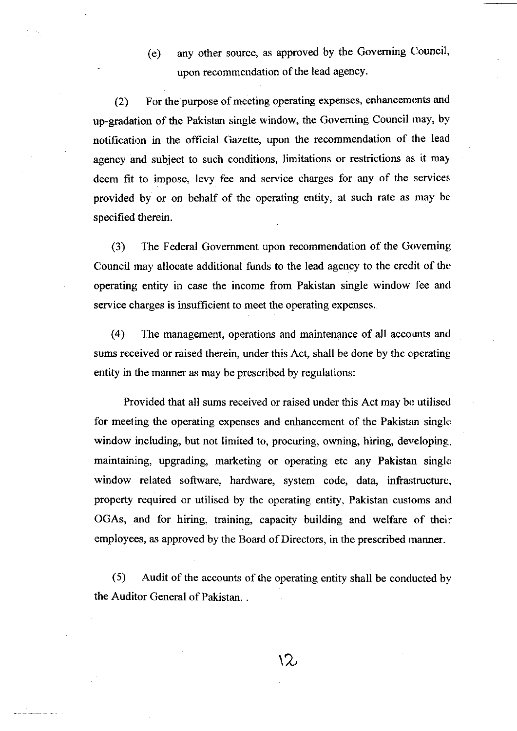(e) any other source, as approved by the Goveming Oouncil, upon recommendation of the lead agency.

(2) For the purpose of meeting operating expenses, enhancemonts and up-gradation of the Pakistan single window, the Goveming Council rnay, by notifrcation in the official Gazette, upon the recommendation of the lead agency and subject to such conditions, limitations or restrictions as it may deem fit to impose, levy fee and service charges for any of the services provided by or on behalf of the operating entity, at such rate as may be specified therein.

(3) Ihe Federal Govemment upon recommendation of the Goveming Council may allocate additional firnds to the lead agency to the credit of thc operating entity in case the income from Pakistan single window fee and service charges is insufficient to meet the operating expenses.

(4) 1he management, operations and maintenance of all accounts and sums received or raised therein, under this Act, shall be done by the cperating entity in the manner as may be prescribed by regulations:

Provided that all sums received or raised under this Act may be utilised. for meeting the operating expenses and enhancement of the Pakistan single window including, but not limited to, procuring, owning, hiring, developing, maintaining, upgrading, marketing or operating etc any Pakistan single window related software, hardware, system code, data, infrastructure, property required or utilised by the operating entity, Pakistan customs and OGAs, and for hiring, training, capacity building and welfare of their employees, as approved by the Board of Directors, in the prescribed manner.

(5) Audit of the accounts of the operating entiry shall be conclucted bv the Auditor General of Pakistan. .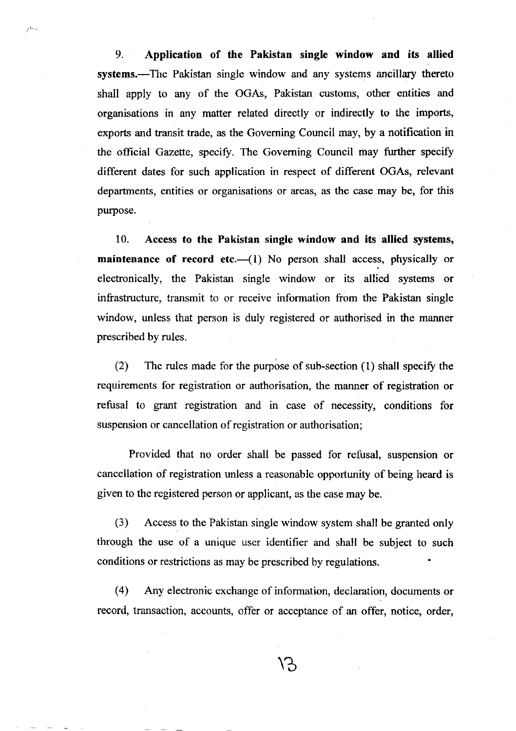9. Application of the Pakistan single window and its allied systems.—The Pakistan single window and any systems ancillary thereto shall apply to any of the OGAs, Pakistan customs, other entities and organisations in any matter related directly or indirectly to the imports, exports and transit trade, as the Goveming Council may, by a notification in the official Gazette, specify. The Governing Council may further specify different dates for such application in respect of different OGAs, relevant departments, entities or organisations or areas, as the case may be, for this purpose.

بالمرار

10. Access to the Pakistan single window and its allied systems, maintenance of record etc. $-(1)$  No person shall access, physically or electronically, the Pakistan single window or its allied systems or infrastructure, transmit to or receive information from the Pakistan single window, unless that person is duly registered or authorised in the manner prescribed by mles.

(2) The rules made for the purpose of sub-section  $(1)$  shall specify the requirements for registration or authorisation, the manner of registration or refusal to grant registration and in case of necessity, conditions for suspension or cancellation of registration or authorisation;

Provided that no order shall be passed for refusal, suspension or cancellation of registration unless a reasonable opportunity of being heard is given to the registered person or applicant, as the case may be.

(3) Access to the Pakistan single window system shall be granted only through the use of a unique user identifier and shall be subject to such conditions or restrictions as may be prescribed by regulations.

(4) Any electronic exchange of information, declaration, documents or record, transaction, accounts, offer or acceptance of an offer, notice, order,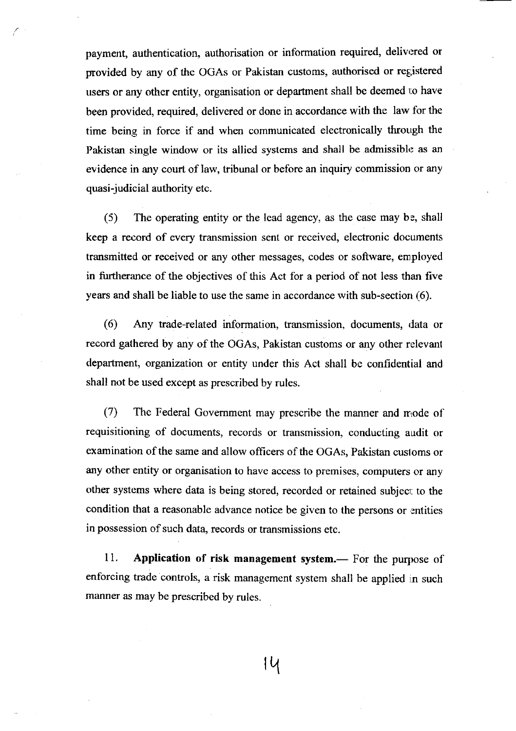payment, authentication, authorisation or information required, delivered or provided by any of the OGAs or Pakistan customs, authorised or rep;istered users or any other entity, organisation or department shall be deemed to have been provided, required, delivered or done in accordance with the law for the time being in force if and when communicated electronically through the Pakistan single window or its allied systems and shall be admissible as an evidence in any court of Iaw, tribunal or before an inquiry commission or any quasi-judicial authority etc.

 $(5)$  The operating entity or the lead agency, as the case may be, shall keep a record of every transmission sent or received, electronic documents transmitted or received or any other messages, codes or software, employed in furtherance of the objectives of this Act for a period of not less than five years and shall be liable to use the same in accordance with sub-section  $(6)$ .

(6) Any trade-related information, transmission, documents, data or record gathered by any of the OGAs, Pakistan customs or any other relevanl department, organization or entity under this Act shall be confidential and shall not be used except as prescribed by rules.

 $(7)$  The Federal Government may prescribe the manner and mode of requisitioning of documents, records or transmission, conducting audit or examination of the same and allow officers of the OGAs, Pakistan cusloms or any other entity or organisation to have access to premises, computers or any other systems where data is being stored, recorded or retained subject to the condition that a reasonable advance notice be given to the persons or entities in possession of such data, records or transmissions etc.

11. Application of risk management system.— For the purpose of enforcing trade controls, a risk management system shall be applied in such manner as may be prescribed by rules.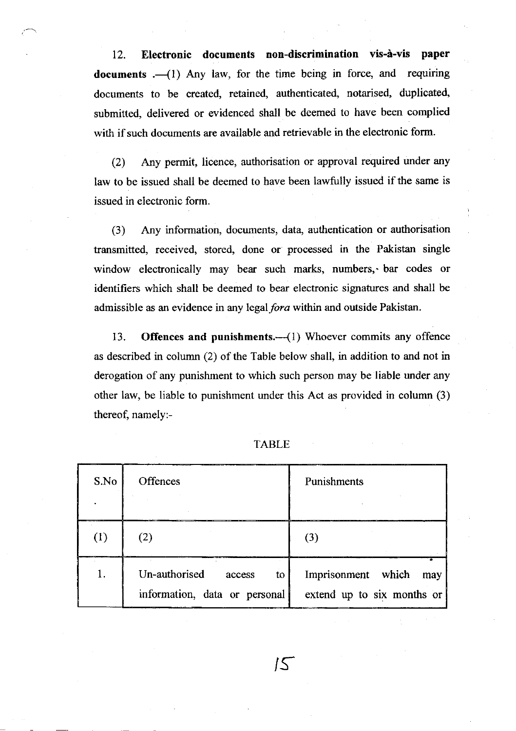12. Electronic documents non-discrimination vis-à-vis paper documents  $,-(1)$  Any law, for the time being in force, and requiring documents to be created, retained, authenticated, notarised, duplicated, submitted, delivered or evidenced shall be deemed to have been complied with if such documents are available and retrievable in the electronic form.

(2) Any permit, licence, authorisation or approval required under any law to be issued shall be deemed to have been lawfully issued if the same is issued in electronic form.

(3) Any information, documents, data, authentication or authorisation transmitted, received, stored, done or processed in the Pakistan single window electronically may bear such marks, numbers, bar codes or identifiers which shall be deemed to bear electronic signatures and shall be admissible as an evidence in any legal fora within and outside Pakistan.

13. Offences and punishments.-- (1) Whoever commits any offence as described in colurnn (2) of the Table below shall, in addition to and not in derogation of any punishment to which such person may be liable under any other law, be liable to punishment under this Act as provided in column (3) thereof, namely:-

| S.No | <b>Offences</b>                                                | Punishments                                             |
|------|----------------------------------------------------------------|---------------------------------------------------------|
| (1)  | (2)                                                            | (3)                                                     |
| 1.   | Un-authorised<br>to<br>access<br>information, data or personal | Imprisonment which<br>may<br>extend up to six months or |

TABLE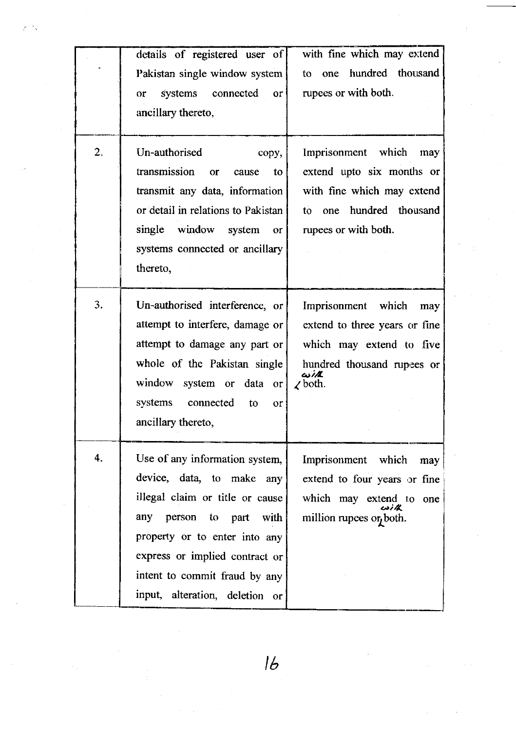|                  | details of registered user of             | with fine which may extend    |
|------------------|-------------------------------------------|-------------------------------|
|                  | Pakistan single window system             | hundred thousand<br>to<br>one |
|                  | systems<br>$connected$ or<br><b>or</b>    | rupees or with both.          |
|                  | ancillary thereto,                        |                               |
|                  |                                           |                               |
| $\overline{2}$ . | Un-authorised<br>copy,                    | Imprisonment which may        |
|                  | transmission<br>to<br>or<br>cause         | extend upto six months or     |
|                  | transmit any data, information            | with fine which may extend    |
|                  | or detail in relations to Pakistan        | one hundred thousand<br>to    |
|                  | single window system or                   | rupees or with both.          |
|                  | systems connected or ancillary            |                               |
|                  | thereto,                                  |                               |
|                  |                                           |                               |
| 3.               | Un-authorised interference, or            | Imprisonment which<br>may     |
|                  | attempt to interfere, damage or           | extend to three years or fine |
|                  | attempt to damage any part or             | which may extend to five      |
|                  | whole of the Pakistan single              | hundred thousand rupees or    |
|                  | window system or data or                  | غانت<br>$\angle$ both.        |
|                  | systems connected<br>to<br>O <sub>r</sub> |                               |
|                  | ancillary thereto,                        |                               |
|                  |                                           |                               |
| 4.               | Use of any information system,            | Imprisonment which<br>may     |
|                  | device, data, to make any                 | extend to four years or fine  |
|                  | illegal claim or title or cause           | which may extend to one       |
|                  | any person to part with                   | million rupees or both.       |
|                  | property or to enter into any             |                               |
|                  | express or implied contract or            |                               |
|                  | intent to commit fraud by any             |                               |
|                  | input, alteration, deletion or            |                               |

 $16$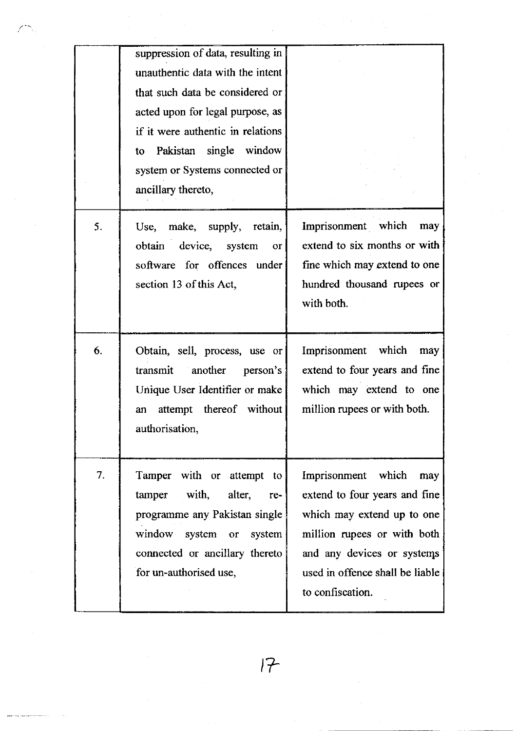|    | suppression of data, resulting in<br>unauthentic data with the intent<br>that such data be considered or<br>acted upon for legal purpose, as<br>if it were authentic in relations<br>to Pakistan single window<br>system or Systems connected or |                                                                                                                                                                                                              |
|----|--------------------------------------------------------------------------------------------------------------------------------------------------------------------------------------------------------------------------------------------------|--------------------------------------------------------------------------------------------------------------------------------------------------------------------------------------------------------------|
| 5. | ancillary thereto,<br>Use, make, supply, retain,<br>obtain device, system<br>or<br>software for offences under<br>section 13 of this Act,                                                                                                        | Imprisonment which<br>may<br>extend to six months or with<br>fine which may extend to one<br>hundred thousand rupees or<br>with both.                                                                        |
| 6. | Obtain, sell, process, use or<br>transmit another<br>person's<br>Unique User Identifier or make<br>attempt thereof without<br>an<br>authorisation,                                                                                               | Imprisonment which<br>may<br>extend to four years and fine<br>which may extend to one<br>million rupees or with both.                                                                                        |
| 7. | Tamper with or attempt to<br>tamper with, alter,<br>re-<br>programme any Pakistan single<br>window system or system<br>connected or ancillary thereto<br>for un-authorised use,                                                                  | Imprisonment which<br>may<br>extend to four years and fine<br>which may extend up to one<br>million rupees or with both<br>and any devices or systems<br>used in offence shall be liable<br>to confiscation. |

 $\frac{1}{\sqrt{2}}\sum_{i=1}^{n-1}\frac{1}{\sqrt{2}}\sum_{i=1}^{n-1}\frac{1}{\sqrt{2}}\sum_{i=1}^{n-1}\frac{1}{\sqrt{2}}\sum_{i=1}^{n-1}\frac{1}{\sqrt{2}}\sum_{i=1}^{n-1}\frac{1}{\sqrt{2}}\sum_{i=1}^{n-1}\frac{1}{\sqrt{2}}\sum_{i=1}^{n-1}\frac{1}{\sqrt{2}}\sum_{i=1}^{n-1}\frac{1}{\sqrt{2}}\sum_{i=1}^{n-1}\frac{1}{\sqrt{2}}\sum_{i=1}^{n-1}\frac{1}{\sqrt{2}}$ 

 $\frac{1}{2}$ 

 $\hat{\mathcal{L}}$ 

 $\bar{z}$ 

t7

 $\alpha=1$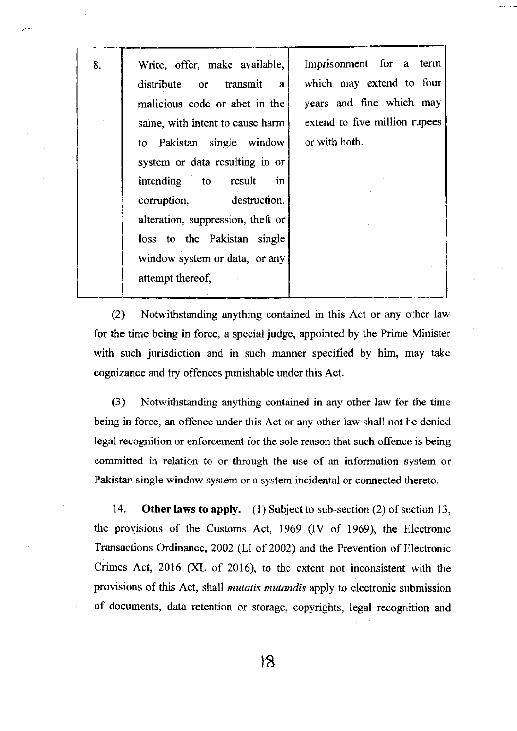& Write, offer, make available, distribute or transmit <sup>a</sup> malicious code or abet in the same, with intent to cause harm to Pakistan single window system or data resulting in or intending to result in corruption, destruction, alteration, suppression, theft or loss to the Pakistan single window system or data, or any attempt thereof,

Imprisonment for a term which may extend to four years and fine which may extend to five million rupees or with both.

(2) Notwithstanding anything contained in this Act or any olher lau' for the time being in force, a special judge, appointed by the Prime Minister with such jurisdiction and in such manner specified by him, may take cognizance and try offences punishable under this Act.

(3) Notwithstanding anything contained in any other law for the time: being in force, an offence under this Act or any other law shall not be denied legal recognition or enforcement for the sole reason that such offence is being committed in relation to or through the use of an information system or Pakistan single window system or a system incidental or connected thereto.

14. Other laws to apply.—(1) Subject to sub-section (2) of section 13, the provisions of the Customs Act, 1969 (IV of 1969), the Iilectronic Transactions Ordinance, 2002 (LI of 2002) and the Prevention of Electronic Crimes Act, 2016 (XL of 2016), to the extent not inconsistent with the provisions of this Act, shall mutatis mutandis apply to electronic submission of documents, data retention or storage, copyrights, legal recognition and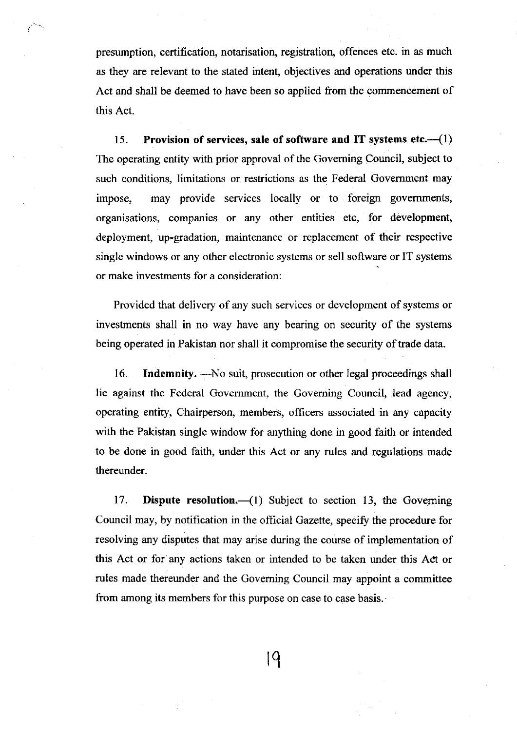presumption, certification, notarisation, registration, offences etc. in as much as they are relevant to the stated intent, objectives and operations under this Act and shall be deemed to have been so applied from the commencement of this Act.

15. Provision of services, sale of software and IT systems etc. $\left(-\frac{1}{l}\right)$ The operating entity with prior approval of the Goveming Council, subject to such conditions, limitations or restrictions as the Federal Government may impose, may provide services locally or to foreign govemments, organisations, companies or any other entities etc, for development, deployment, up-gradation, maintenance or replacement of their respective single windows or any other electronic systems or sell software or IT systems or make investments for a consideration:

Provided that delivery of any such services or development of systems or investments shall in no way have any bearing on security of the systems being operated in Pakistan nor shall it compromise the security of trade data.

16. Indemnity. —No suit, prosecution or other legal proceedings shall lie against the Federal Govemment, the Goveming Council, lead agency, operating entity, Chairperson, members, oflicers associated in any capacity with the Pakistan single window for anything done in good faith or intended to be done in good faith, under this Act or any rules and regulations made thereunder.

17. Dispute resolution.  $\qquad$  (1) Subject to section 13, the Governing Council may, by notification in the official Gazette, speoifr the procedure for resolving any disputes that may arise during the course of implementation of this Act or for any actions taken or intended to be taken under this Adt or rules made thereunder and the Goveming Council may appoint a committee from among its members for this purpose on case to case basis.

lq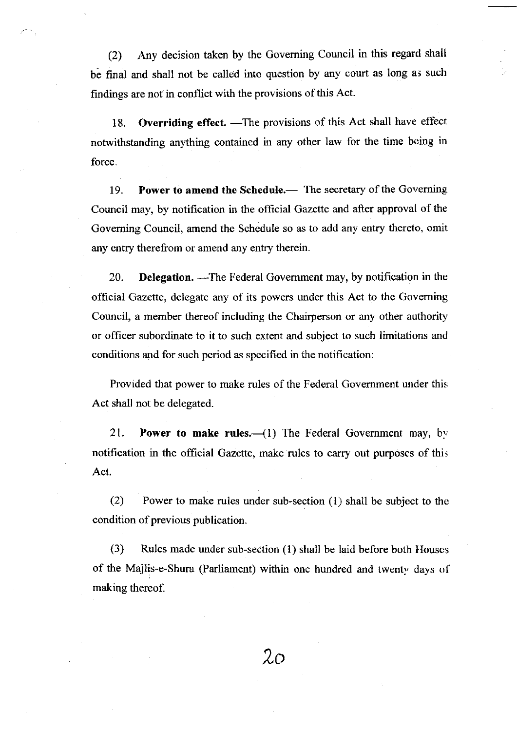(2) Any decision taken by the Governing Council in this regard shall be final and shall not be called into question by any court as long as such findings are not in conflict with the provisions of this Act.

18. Overriding effect. - The provisions of this Act shall have effect notwithstanding anything contained in any other law for the time being in force.

19. Power to amend the Schedule.— The secretary of the Governing Council may, by notification in the official Gazette and after approval of the Goveming Council, amend the Schedule so as to add any entry therelo, omit any entry therefrom or amend any entry therein.

20. **Delegation.** -The Federal Government may, by notification in the official Gazette, delegate any of its powers under this Act to the Governing Council, a member thereof including the Chairperson or any other authority or officer subordinate to it to such extent and subject to such limitations and conditions and for such period as specified in the notification:

Provided that power to make rules of the Federal Government under this Act shall not be delegated.

21. Power to make rules. $\left(\begin{array}{cc} -1 \end{array}\right)$  The Federal Government may, by notification in the official Gazette, make rules to carry out purposes of this. Act.

(2) Power to make rules under sub-section  $(1)$  shall be subject to the condition of previous publication.

(3) Rules made under sub-section (1) shall be laid before both Houses of the Majlis-e-Shura (Parliament) within one hundred and twenty days of making thereof.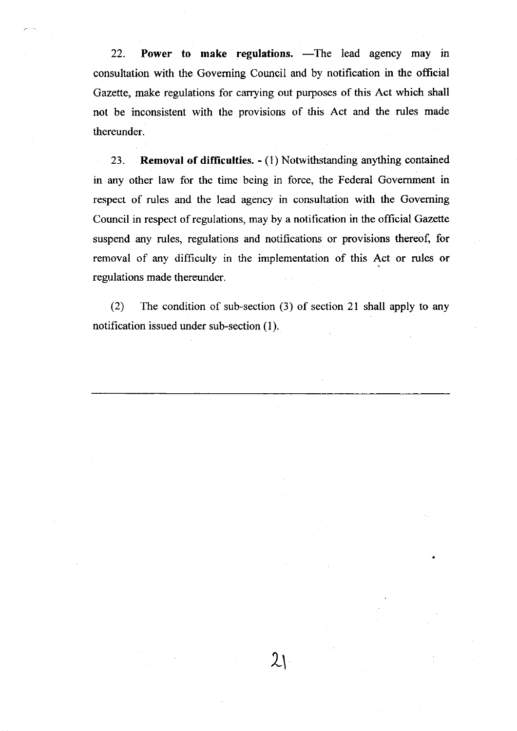22. Power to make regulations.  $\text{---}$ The lead agency may in consultation with the Goveming Council and by notification in the offrcial Gazette, make regulations for carrying out purposes of this Act which shall not be inconsistent with the provisions of this Act and the rules made thereunder.

23. Removal of difficulties. - (1) Notwithstanding anything contained in any other law for the time being in force, the Federal Government in respect of rules and the lead agency in consultation with the Governing Council in respect of regulations, may by a notification in the official Gazelte suspend any rules, regulations and notifications or provisions thereof, for removal of any difficulty in the implementation of this Act or rules or regulations made thereunder.

(2) The condition of sub-section (3) of section 2l shall apply to any notification issued under sub-section (l).

 $2<sub>1</sub>$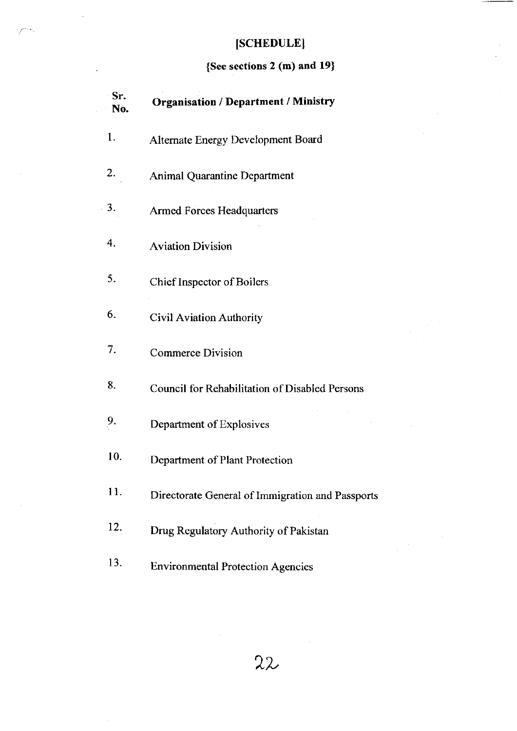# [SCHEDULE]

## {See sections 2 (m) and 19}

 $\ddot{\phantom{1}}$ 

| Sr.<br>No.     | <b>Organisation / Department / Ministry</b>           |
|----------------|-------------------------------------------------------|
| $\mathbf{1}$ . | Alternate Energy Development Board                    |
| 2.             | <b>Animal Quarantine Department</b>                   |
| 3.             | <b>Armed Forces Headquarters</b>                      |
| 4.             | <b>Aviation Division</b>                              |
| 5.             | Chief Inspector of Boilers                            |
| 6.             | <b>Civil Aviation Authority</b>                       |
| 7.             | <b>Commerce Division</b>                              |
| 8.             | <b>Council for Rehabilitation of Disabled Persons</b> |
| 9.             | Department of Explosives                              |
| 10.            | Department of Plant Protection                        |
| 11.            | Directorate General of Immigration and Passports      |
| 12.            | Drug Regulatory Authority of Pakistan                 |
| 13.            | <b>Environmental Protection Agencies</b>              |

 $\frac{1}{2} \sum_{i=1}^n \frac{1}{2} \sum_{j=1}^n \frac{1}{2} \sum_{j=1}^n \frac{1}{2} \sum_{j=1}^n \frac{1}{2} \sum_{j=1}^n \frac{1}{2} \sum_{j=1}^n \frac{1}{2} \sum_{j=1}^n \frac{1}{2} \sum_{j=1}^n \frac{1}{2} \sum_{j=1}^n \frac{1}{2} \sum_{j=1}^n \frac{1}{2} \sum_{j=1}^n \frac{1}{2} \sum_{j=1}^n \frac{1}{2} \sum_{j=1}^n \frac{1}{2} \sum_{j=$ 

 $\alpha$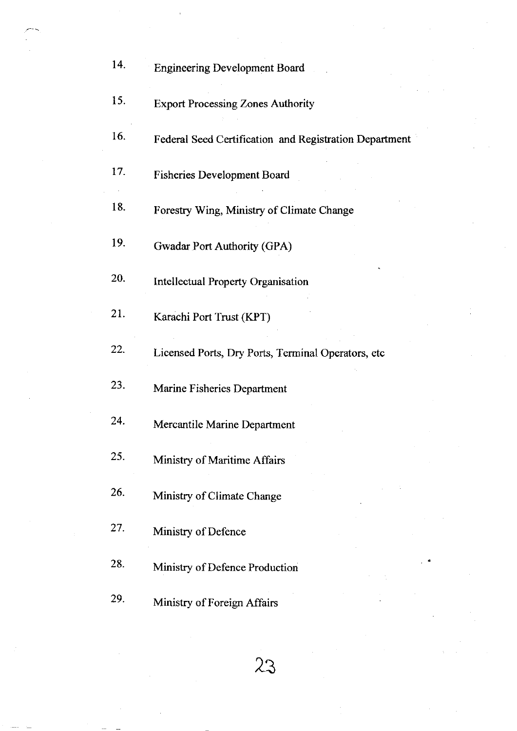| 14. | <b>Engineering Development Board</b>                   |
|-----|--------------------------------------------------------|
| 15. | <b>Export Processing Zones Authority</b>               |
| 16. | Federal Seed Certification and Registration Department |
| 17. | <b>Fisheries Development Board</b>                     |
| 18. | Forestry Wing, Ministry of Climate Change              |
| 19. | <b>Gwadar Port Authority (GPA)</b>                     |
| 20. | <b>Intellectual Property Organisation</b>              |
| 21. | Karachi Port Trust (KPT)                               |
| 22. | Licensed Ports, Dry Ports, Terminal Operators, etc     |
| 23. | Marine Fisheries Department                            |
| 24. | Mercantile Marine Department                           |
| 25. | Ministry of Maritime Affairs                           |
| 26. | Ministry of Climate Change                             |
| 27. | Ministry of Defence                                    |
| 28. | Ministry of Defence Production                         |
| 29. | Ministry of Foreign Affairs                            |

23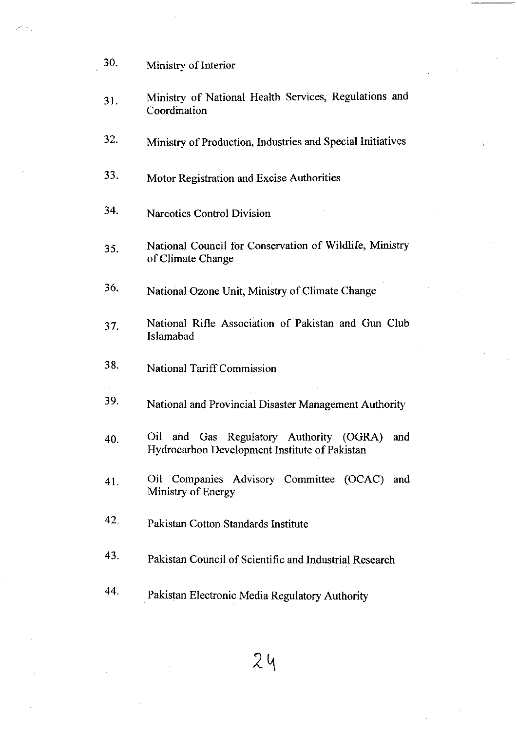| 30. | Ministry of Interior |
|-----|----------------------|
|-----|----------------------|

- 31. Ministry of National Health Services, Regulations and Coordination
- 32. Ministry of Production, Industries and Special Initiatives
- <sup>33</sup>' Motor Registration and Excise Authorities
- 34' Narcotics Control Division
- 35. National Council for Conservation of Wildlife, Ministry of Climate Change
- 36' National Ozone Unit, Ministry of Climate Change
- 37. National Rifle Association of Pakistan and Gun Club Islamabad
- <sup>3</sup>8' National Tariff Commission
- 39. National and Provincial Disaster Management Authority
- 40. Oil and Gas Regulatory Authority (OGRA) and Hydrocarbon Development Institute of Pakistan
- 4l Oil Companies Advisory Committee (OCAC) and Ministry of Energy
- 42' Pakistan Cotton Standards lnstitute
- 43' Pakistan Council of Scientific and Industrial Research
- 44' Pakistan Electronic Media Regulatory Authority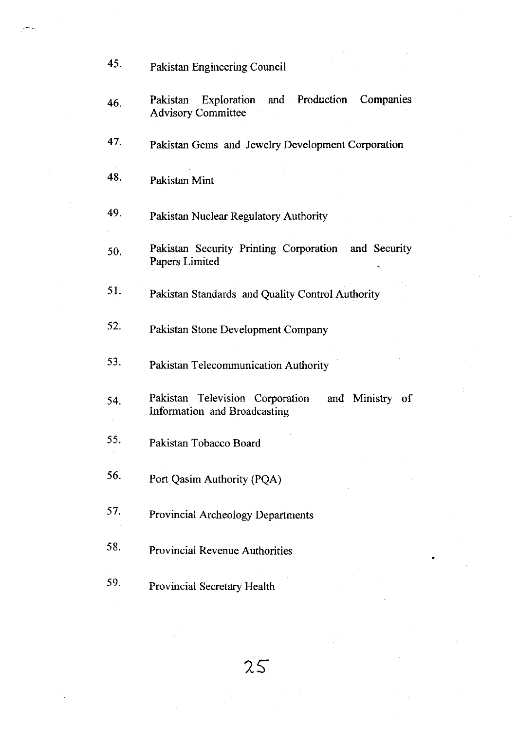| 45. | Pakistan Engineering Council                                                       |
|-----|------------------------------------------------------------------------------------|
| 46. | Exploration and Production<br>Companies<br>Pakistan<br><b>Advisory Committee</b>   |
| 47. | Pakistan Gems and Jewelry Development Corporation                                  |
| 48. | Pakistan Mint                                                                      |
| 49. | Pakistan Nuclear Regulatory Authority                                              |
| 50. | Pakistan Security Printing Corporation and Security<br>Papers Limited              |
| 51. | Pakistan Standards and Quality Control Authority                                   |
| 52. | Pakistan Stone Development Company                                                 |
| 53. | Pakistan Telecommunication Authority                                               |
| 54. | Pakistan Television Corporation<br>and Ministry of<br>Information and Broadcasting |
| 55. | Pakistan Tobacco Board                                                             |
| 56. | Port Qasim Authority (PQA)                                                         |
| 57. | <b>Provincial Archeology Departments</b>                                           |
| 58. | <b>Provincial Revenue Authorities</b>                                              |
| 59. | Provincial Secretary Health                                                        |

TN.

 $\frac{1}{2} \left( \frac{1}{2} \right)$ 

 $\frac{1}{2}$ 

 $\frac{1}{2}$ 

2S

 $\frac{1}{\sqrt{2}}$ 

l.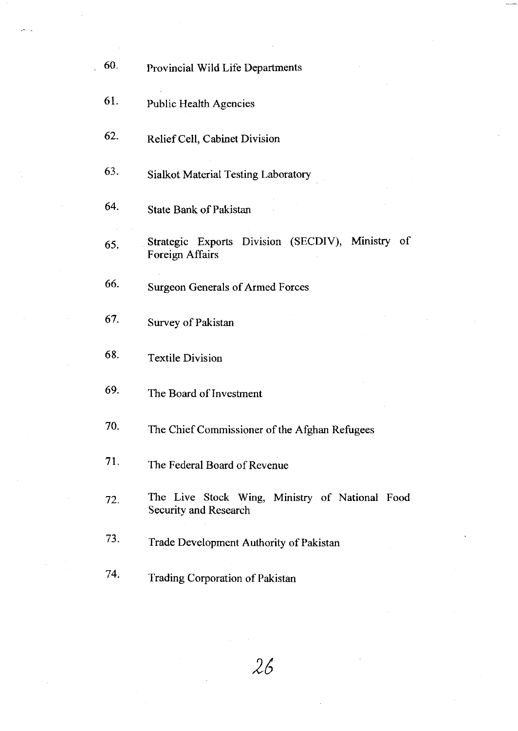|  | 60. | Provincial Wild Life Departments                                        |
|--|-----|-------------------------------------------------------------------------|
|  | 61. | Public Health Agencies                                                  |
|  | 62. | Relief Cell, Cabinet Division                                           |
|  | 63. | <b>Sialkot Material Testing Laboratory</b>                              |
|  | 64. | <b>State Bank of Pakistan</b>                                           |
|  | 65. | Strategic Exports Division (SECDIV), Ministry of<br>Foreign Affairs     |
|  | 66. | <b>Surgeon Generals of Armed Forces</b>                                 |
|  | 67. | Survey of Pakistan                                                      |
|  | 68. | <b>Textile Division</b>                                                 |
|  | 69. | The Board of Investment                                                 |
|  | 70. | The Chief Commissioner of the Afghan Refugees                           |
|  | 71. | The Federal Board of Revenue                                            |
|  | 72. | The Live Stock Wing, Ministry of National Food<br>Security and Research |
|  | 73. | Trade Development Authority of Pakistan                                 |
|  | 74. | Trading Corporation of Pakistan                                         |